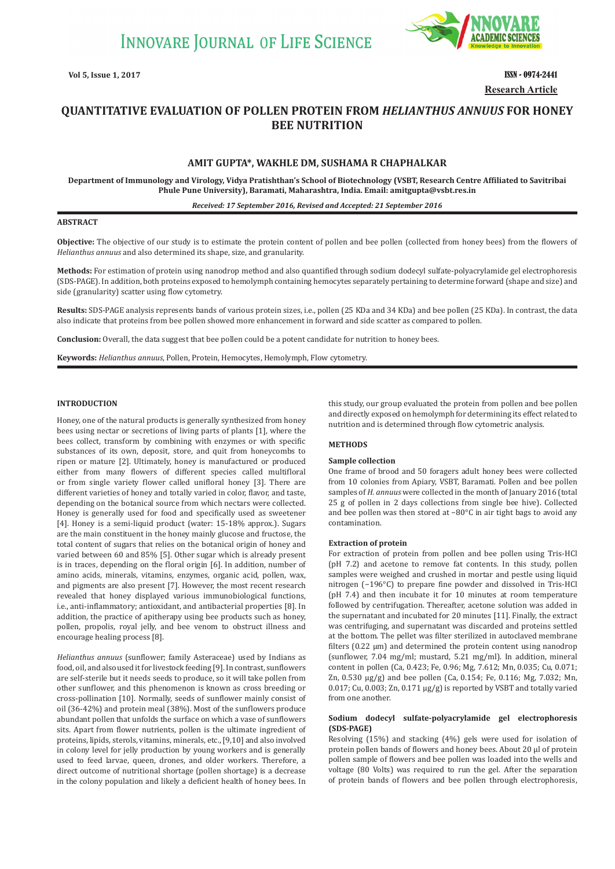

**Vol 5, Issue 1, 2017 ISSN - 0974-2441 Research Article**

# **QUANTITATIVE EVALUATION OF POLLEN PROTEIN FROM** *HELIANTHUS ANNUUS* **FOR HONEY BEE NUTRITION**

# **AMIT GUPTA\*, WAKHLE DM, SUSHAMA R CHAPHALKAR**

**Department of Immunology and Virology, Vidya Pratishthan's School of Biotechnology (VSBT, Research Centre Affiliated to Savitribai Phule Pune University), Baramati, Maharashtra, India. Email: amitgupta@vsbt.res.in**

#### *Received: 17 September 2016, Revised and Accepted: 21 September 2016*

#### **ABSTRACT**

**Objective:** The objective of our study is to estimate the protein content of pollen and bee pollen (collected from honey bees) from the flowers of *Helianthus annuus* and also determined its shape, size, and granularity.

**Methods:** For estimation of protein using nanodrop method and also quantified through sodium dodecyl sulfate-polyacrylamide gel electrophoresis (SDS-PAGE). In addition, both proteins exposed to hemolymph containing hemocytes separately pertaining to determine forward (shape and size) and side (granularity) scatter using flow cytometry.

**Results:** SDS-PAGE analysis represents bands of various protein sizes, i.e., pollen (25 KDa and 34 KDa) and bee pollen (25 KDa). In contrast, the data also indicate that proteins from bee pollen showed more enhancement in forward and side scatter as compared to pollen.

**Conclusion:** Overall, the data suggest that bee pollen could be a potent candidate for nutrition to honey bees.

**Keywords:** *Helianthus annuus*, Pollen, Protein, Hemocytes, Hemolymph, Flow cytometry.

# **INTRODUCTION**

Honey, one of the natural products is generally synthesized from honey bees using nectar or secretions of living parts of plants [1], where the bees collect, transform by combining with enzymes or with specific substances of its own, deposit, store, and quit from honeycombs to ripen or mature [2]. Ultimately, honey is manufactured or produced either from many flowers of different species called multifloral or from single variety flower called unifloral honey [3]. There are different varieties of honey and totally varied in color, flavor, and taste, depending on the botanical source from which nectars were collected. Honey is generally used for food and specifically used as sweetener [4]. Honey is a semi-liquid product (water: 15-18% approx.). Sugars are the main constituent in the honey mainly glucose and fructose, the total content of sugars that relies on the botanical origin of honey and varied between 60 and 85% [5]. Other sugar which is already present is in traces, depending on the floral origin [6]. In addition, number of amino acids, minerals, vitamins, enzymes, organic acid, pollen, wax, and pigments are also present [7]. However, the most recent research revealed that honey displayed various immunobiological functions, i.e., anti-inflammatory; antioxidant, and antibacterial properties [8]. In addition, the practice of apitherapy using bee products such as honey, pollen, propolis, royal jelly, and bee venom to obstruct illness and encourage healing process [8].

*Helianthus annuus* (sunflower; family Asteraceae) used by Indians as food, oil, and also used it for livestock feeding [9]. In contrast, sunflowers are self-sterile but it needs seeds to produce, so it will take pollen from other sunflower, and this phenomenon is known as cross breeding or cross-pollination [10]. Normally, seeds of sunflower mainly consist of oil (36-42%) and protein meal (38%). Most of the sunflowers produce abundant pollen that unfolds the surface on which a vase of sunflowers sits. Apart from flower nutrients, pollen is the ultimate ingredient of proteins, lipids, sterols, vitamins, minerals, etc., [9,10] and also involved in colony level for jelly production by young workers and is generally used to feed larvae, queen, drones, and older workers. Therefore, a direct outcome of nutritional shortage (pollen shortage) is a decrease in the colony population and likely a deficient health of honey bees. In this study, our group evaluated the protein from pollen and bee pollen and directly exposed on hemolymph for determining its effect related to nutrition and is determined through flow cytometric analysis.

# **METHODS**

#### **Sample collection**

One frame of brood and 50 foragers adult honey bees were collected from 10 colonies from Apiary, VSBT, Baramati. Pollen and bee pollen samples of *H. annuus* were collected in the month of January 2016 (total 25 g of pollen in 2 days collections from single bee hive). Collected and bee pollen was then stored at −80°C in air tight bags to avoid any contamination.

#### **Extraction of protein**

For extraction of protein from pollen and bee pollen using Tris-HCl (pH 7.2) and acetone to remove fat contents. In this study, pollen samples were weighed and crushed in mortar and pestle using liquid nitrogen (−196°C) to prepare fine powder and dissolved in Tris-HCl (pH 7.4) and then incubate it for 10 minutes at room temperature followed by centrifugation. Thereafter, acetone solution was added in the supernatant and incubated for 20 minutes [11]. Finally, the extract was centrifuging, and supernatant was discarded and proteins settled at the bottom. The pellet was filter sterilized in autoclaved membrane filters (0.22 µm) and determined the protein content using nanodrop (sunflower, 7.04 mg/ml; mustard, 5.21 mg/ml). In addition, mineral content in pollen (Ca, 0.423; Fe, 0.96; Mg, 7.612; Mn, 0.035; Cu, 0.071; Zn, 0.530 µg/g) and bee pollen (Ca, 0.154; Fe, 0.116; Mg, 7.032; Mn, 0.017; Cu, 0.003; Zn, 0.171 µg/g) is reported by VSBT and totally varied from one another.

# **Sodium dodecyl sulfate-polyacrylamide gel electrophoresis (SDS-PAGE)**

Resolving (15%) and stacking (4%) gels were used for isolation of protein pollen bands of flowers and honey bees. About 20 µl of protein pollen sample of flowers and bee pollen was loaded into the wells and voltage (80 Volts) was required to run the gel. After the separation of protein bands of flowers and bee pollen through electrophoresis,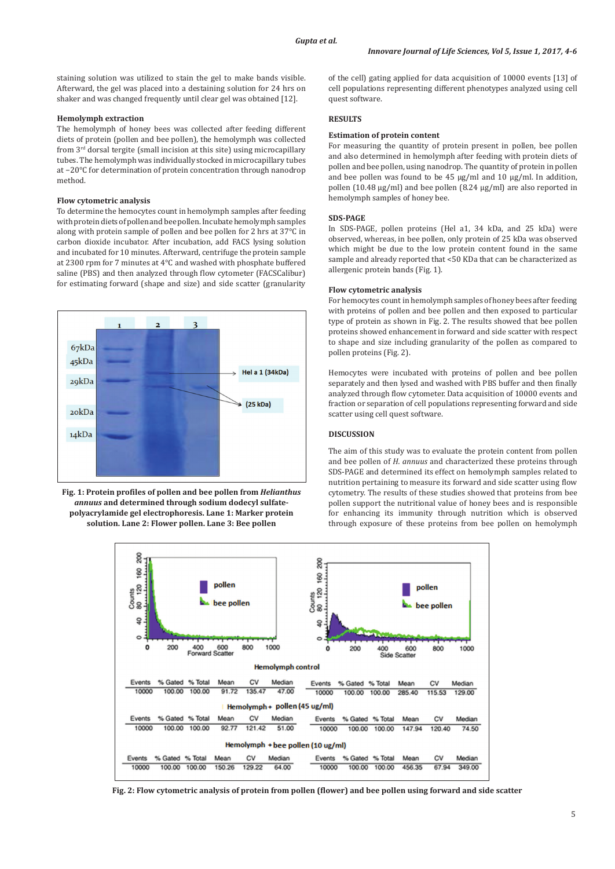staining solution was utilized to stain the gel to make bands visible. Afterward, the gel was placed into a destaining solution for 24 hrs on shaker and was changed frequently until clear gel was obtained [12].

## **Hemolymph extraction**

The hemolymph of honey bees was collected after feeding different diets of protein (pollen and bee pollen), the hemolymph was collected from 3<sup>rd</sup> dorsal tergite (small incision at this site) using microcapillary tubes. The hemolymph was individually stocked in microcapillary tubes at −20°C for determination of protein concentration through nanodrop method.

## **Flow cytometric analysis**

To determine the hemocytes count in hemolymph samples after feeding with protein diets of pollen and bee pollen. Incubate hemolymph samples along with protein sample of pollen and bee pollen for 2 hrs at 37°C in carbon dioxide incubator. After incubation, add FACS lysing solution and incubated for 10 minutes. Afterward, centrifuge the protein sample at 2300 rpm for 7 minutes at 4°C and washed with phosphate buffered saline (PBS) and then analyzed through flow cytometer (FACSCalibur) for estimating forward (shape and size) and side scatter (granularity



**Fig. 1: Protein profiles of pollen and bee pollen from** *Helianthus annuus* **and determined through sodium dodecyl sulfatepolyacrylamide gel electrophoresis. Lane 1: Marker protein solution. Lane 2: Flower pollen. Lane 3: Bee pollen**

of the cell) gating applied for data acquisition of 10000 events [13] of cell populations representing different phenotypes analyzed using cell quest software.

# **RESULTS**

#### **Estimation of protein content**

For measuring the quantity of protein present in pollen, bee pollen and also determined in hemolymph after feeding with protein diets of pollen and bee pollen, using nanodrop. The quantity of protein in pollen and bee pollen was found to be  $45 \text{ µg/ml}$  and  $10 \text{ µg/ml}$ . In addition, pollen (10.48 µg/ml) and bee pollen (8.24 µg/ml) are also reported in hemolymph samples of honey bee.

## **SDS-PAGE**

In SDS-PAGE, pollen proteins (Hel a1, 34 kDa, and 25 kDa) were observed, whereas, in bee pollen, only protein of 25 kDa was observed which might be due to the low protein content found in the same sample and already reported that <50 KDa that can be characterized as allergenic protein bands (Fig. 1).

#### **Flow cytometric analysis**

For hemocytes count in hemolymph samples of honey bees after feeding with proteins of pollen and bee pollen and then exposed to particular type of protein as shown in Fig. 2. The results showed that bee pollen proteins showed enhancement in forward and side scatter with respect to shape and size including granularity of the pollen as compared to pollen proteins (Fig. 2).

Hemocytes were incubated with proteins of pollen and bee pollen separately and then lysed and washed with PBS buffer and then finally analyzed through flow cytometer. Data acquisition of 10000 events and fraction or separation of cell populations representing forward and side scatter using cell quest software.

# **DISCUSSION**

The aim of this study was to evaluate the protein content from pollen and bee pollen of *H. annuus* and characterized these proteins through SDS-PAGE and determined its effect on hemolymph samples related to nutrition pertaining to measure its forward and side scatter using flow cytometry. The results of these studies showed that proteins from bee pollen support the nutritional value of honey bees and is responsible for enhancing its immunity through nutrition which is observed through exposure of these proteins from bee pollen on hemolymph



**Fig. 2: Flow cytometric analysis of protein from pollen (flower) and bee pollen using forward and side scatter**